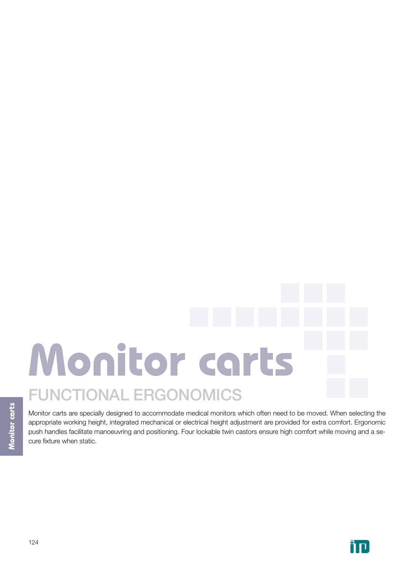# FUNCTIONAL ERGONOMICS **Monitor carts**

Monitor carts are specially designed to accommodate medical monitors which often need to be moved. When selecting the appropriate working height, integrated mechanical or electrical height adjustment are provided for extra comfort. Ergonomic push handles facilitate manoeuvring and positioning. Four lockable twin castors ensure high comfort while moving and a secure fixture when static.

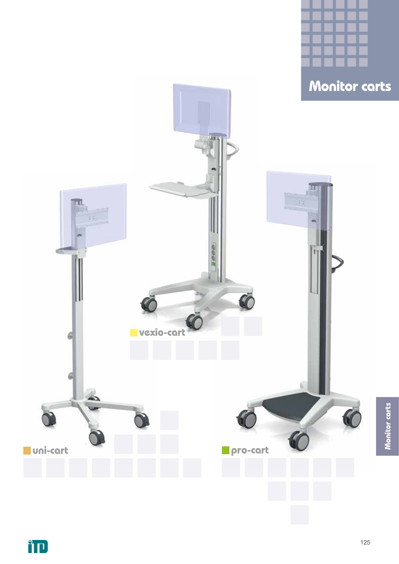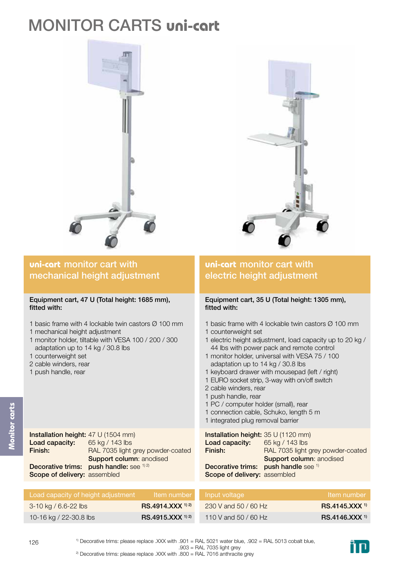# MONITOR CARTS **uni-cart**





### **uni-cart** monitor cart with mechanical height adjustment

#### Equipment cart, 47 U (Total height: 1685 mm), fitted with:

- 1 basic frame with 4 lockable twin castors Ø 100 mm
- 1 mechanical height adjustment

Installation height: 47 U (1504 mm)

Scope of delivery: assembled

Decorative trims: push handle: see <sup>1) 2)</sup>

- 1 monitor holder, tiltable with VESA 100 / 200 / 300 adaptation up to 14 kg / 30.8 lbs
- 1 counterweight set
- 2 cable winders, rear
- 1 push handle, rear

Load capacity:

Finish:

## **uni-cart** monitor cart with electric height adjustment

#### Equipment cart, 35 U (Total height: 1305 mm), fitted with:

- 1 basic frame with 4 lockable twin castors Ø 100 mm 1 counterweight set
- 1 electric height adjustment, load capacity up to 20 kg / 44 lbs with power pack and remote control
- 1 monitor holder, universal with VESA 75 / 100 adaptation up to 14 kg / 30.8 lbs
- 1 keyboard drawer with mousepad (left / right)
- 1 EURO socket strip, 3-way with on/off switch
- 2 cable winders, rear
- 1 push handle, rear
- 1 PC / computer holder (small), rear
- 1 connection cable, Schuko, length 5 m
- 1 integrated plug removal barrier

| 47 U (1504 mm)                    | Installation height: 35 U (1120 mm)                     |
|-----------------------------------|---------------------------------------------------------|
| 65 kg / 143 lbs                   | <b>Load capacity:</b> $65 \text{ kg} / 143 \text{ lbs}$ |
| RAL 7035 light grey powder-coated | RAL 7035 light grey powder-coated<br>Finish:            |
| <b>Support column: anodised</b>   | <b>Support column: anodised</b>                         |
| push handle: see 1) 2)            | Decorative trims: push handle see 1)                    |
| assembled                         | Scope of delivery: assembled                            |

| Load capacity of height adjustment |                              | I Item number   Input voltage | Item number              |
|------------------------------------|------------------------------|-------------------------------|--------------------------|
| $3-10$ kg / 6.6-22 lbs             | RS.4914.XXX <sup>1) 2)</sup> | 230 V and 50 / 60 Hz          | RS.4145.XXX <sup>1</sup> |
| 10-16 kg / 22-30.8 lbs             | RS.4915.XXX <sup>1) 2)</sup> | 110 V and 50 / 60 Hz          | $RS.4146.XXX^{1}$        |

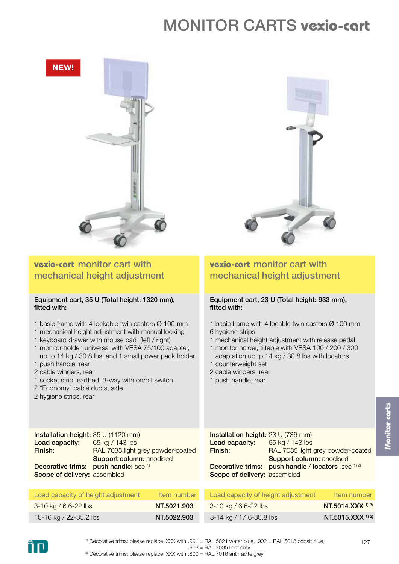# MONITOR CARTS **vexio-cart**



- 1 keyboard drawer with mouse pad (left / right)
- 1 monitor holder, universal with VESA 75/100 adapter, up to 14 kg / 30.8 lbs, and 1 small power pack holder
- 1 push handle, rear
- 2 cable winders, rear
- 1 socket strip, earthed, 3-way with on/off switch
- 2 "Economy" cable ducts, side
- 2 hygiene strips, rear

## **vexio-cart** monitor cart with mechanical height adjustment

## Equipment cart, 23 U (Total height: 933 mm),

- 1 basic frame with 4 locable twin castors Ø 100 mm
- 1 mechanical height adjustment with release pedal
- 1 monitor holder, tiltable with VESA 100 / 200 / 300
- adaptation up tp 14 kg / 30.8 lbs with locators 1 counterweight set
- 2 cable winders, rear
- 1 push handle, rear

Installation height: 35 U (1120 mm) Load capacity: Finish: Decorative trims: push handle: see 1) Scope of delivery: assembled 65 kg / 143 lbs RAL 7035 light grey powder-coated Support column: anodised Installation height: 23 U (736 mm) Load capacity: Finish: Decorative trims: push handle / locators see 1) 2 Scope of delivery: assembled 65 kg / 143 lbs RAL 7035 light grey powder-coated Support column: anodised

| Load capacity of height adjustment | Item number | Load capacity of height adjustment | Item number       |
|------------------------------------|-------------|------------------------------------|-------------------|
| $3-10$ kg / 6.6-22 lbs             | NT.5021.903 | $3-10$ kg / 6.6-22 lbs             | NT.5014.XXX 1) 2) |
| 10-16 kg / 22-35.2 lbs             | NT.5022.903 | 8-14 kg / 17.6-30.8 lbs            | NT.5015.XXX 1) 2) |

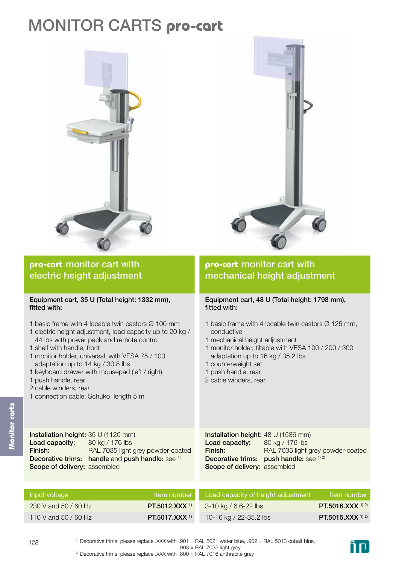# MONITOR CARTS **pro-cart**





## **pro-cart** monitor cart with electric height adjustment

#### Equipment cart, 35 U (Total height: 1332 mm), fitted with:

- 1 basic frame with 4 locable twin castors Ø 100 mm
- 1 electric height adjustment, load capacity up to 20 kg / 44 lbs with power pack and remote control
- 1 shelf with handle, front
- 1 monitor holder, universal, with VESA 75 / 100 adaptation up to 14 kg / 30.8 lbs
- 1 keyboard drawer with mousepad (left / right)
- 1 push handle, rear
- 2 cable winders, rear
- 1 connection cable, Schuko, length 5 m

## **pro-cart** monitor cart with mechanical height adjustment

#### Equipment cart, 48 U (Total height: 1798 mm), fitted with:

- 1 basic frame with 4 locable twin castors  $\varnothing$  125 mm, conductive
- 1 mechanical height adjustment
- 1 monitor holder, tiltable with VESA 100 / 200 / 300 adaptation up to 16 kg / 35.2 lbs
- 1 counterweight set
- 1 push handle, rear
- 2 cable winders, rear

Installation height: 35 U (1120 mm) Load capacity: Finish: Decorative trims: handle and push handle: see 1) Scope of delivery: assembled 80 kg / 176 lbs RAL 7035 light grey powder-coated

Installation height: 48 U (1536 mm) Load capacity: Finish: Decorative trims: push handle: see 1) 2] Scope of delivery: assembled 80 kg / 176 lbs RAL 7035 light grey powder-coated

| Input voltage        | <b>Item number</b>        | Load capacity of height adjustment | Item number       |
|----------------------|---------------------------|------------------------------------|-------------------|
| 230 V and 50 / 60 Hz | PT.5012.XXX <sup>1</sup>  | 3-10 kg / 6.6-22 lbs               | PT.5016.XXX 1) 2) |
| 110 V and 50 / 60 Hz | PT.5017.XXX <sup>1)</sup> | 10-16 kg / 22-35.2 lbs             | PT.5015.XXX 1) 2) |

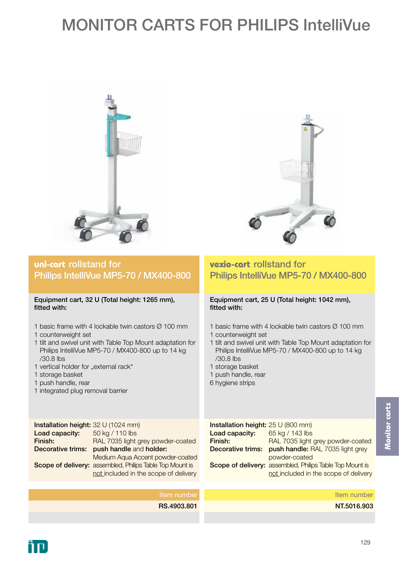# MONITOR CARTS FOR PHILIPS IntelliVue





### **uni-cart** rollstand for Philips IntelliVue MP5-70 / MX400-800

#### Equipment cart, 32 U (Total height: 1265 mm), fitted with:

- 1 basic frame with 4 lockable twin castors Ø 100 mm
- 1 counterweight set
- 1 tilt and swivel unit with Table Top Mount adaptation for Philips IntelliVue MP5-70 / MX400-800 up to 14 kg /30.8 lbs
- 1 vertical holder for "external rack"
- 1 storage basket
- 1 push handle, rear
- 1 integrated plug removal barrier

## **vexio-cart** rollstand for Philips IntelliVue MP5-70 / MX400-800

#### Equipment cart, 25 U (Total height: 1042 mm), fitted with:

- 1 basic frame with 4 lockable twin castors Ø 100 mm
- 1 counterweight set
- 1 tilt and swivel unit with Table Top Mount adaptation for Philips IntelliVue MP5-70 / MX400-800 up to 14 kg /30.8 lbs
- 1 storage basket
- 1 push handle, rear
- 6 hygiene strips

Installation height: 32 U (1024 mm) Load capacity: Finish: Decorative trims: push handle and holder: Scope of delivery: assembled, Philips Table Top Mount is 50 kg / 110 lbs RAL 7035 light grey powder-coated Medium Aqua Accent powder-coated not included in the scope of delivery

| Installation height: 25 U (800 mm) |                                                          |
|------------------------------------|----------------------------------------------------------|
| Load capacity:                     | 65 kg / 143 lbs                                          |
| Finish:                            | RAL 7035 light grey powder-coated                        |
|                                    | Decorative trims: push handle: RAL 7035 light grey       |
|                                    | powder-coated                                            |
|                                    | Scope of delivery: assembled, Philips Table Top Mount is |
|                                    | not included in the scope of delivery                    |

Item number RS.4903.801 Item number NT.5016.903

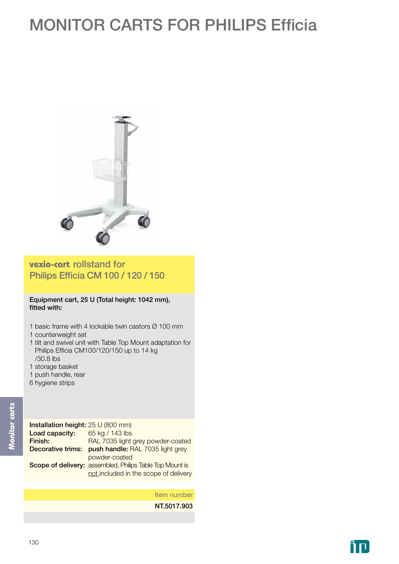# MONITOR CARTS FOR PHILIPS Efficia



**vexio-cart** rollstand for Philips Efficia CM 100 / 120 / 150

Equipment cart, 25 U (Total height: 1042 mm), fitted with:

- 1 basic frame with 4 lockable twin castors Ø 100 mm
- 1 counterweight set
- 1 tilt and swivel unit with Table Top Mount adaptation for Philips Efficia CM100/120/150 up to 14 kg /30.8 lbs
- 1 storage basket
- 1 push handle, rear
- 6 hygiene strips

| Installation height: 25 U (800 mm) |                                                          |
|------------------------------------|----------------------------------------------------------|
| Load capacity:                     | 65 kg / 143 lbs                                          |
| Finish:                            | RAL 7035 light grey powder-coated                        |
| Decorative trims:                  | push handle: RAL 7035 light grey                         |
|                                    | powder-coated                                            |
|                                    | Scope of delivery: assembled, Philips Table Top Mount is |
|                                    | not included in the scope of delivery                    |

Item number

NT.5017.903

ĨП